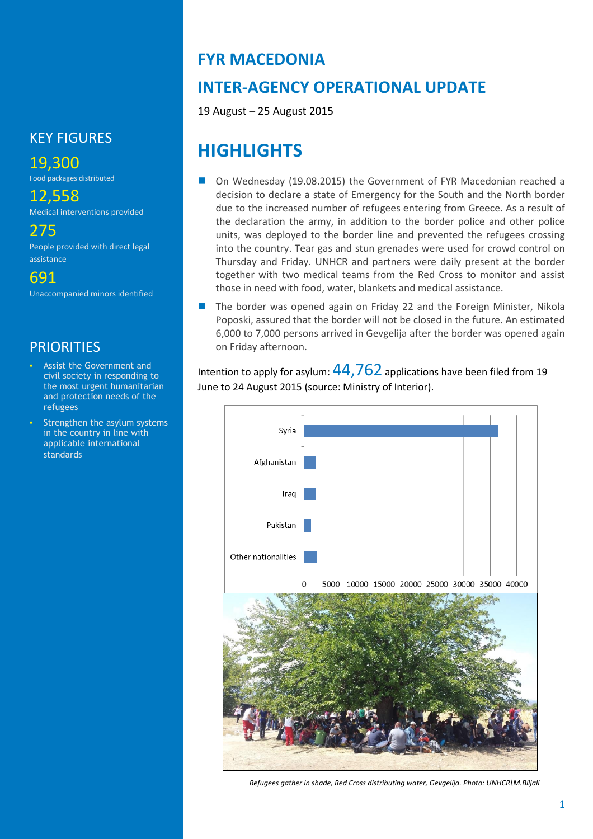## KEY FIGURES

# 19,300

Food packages distributed

# 12,558

Medical interventions provided

## 275

People provided with direct legal assistance

691

Unaccompanied minors identified

## **PRIORITIES**

- Assist the Government and civil society in responding to the most urgent humanitarian and protection needs of the refugees
- Strengthen the asylum systems in the country in line with applicable international standards

# **FYR MACEDONIA**

# **INTER-AGENCY OPERATIONAL UPDATE**

19 August – 25 August 2015

# **HIGHLIGHTS**

- On Wednesday (19.08.2015) the Government of FYR Macedonian reached a decision to declare a state of Emergency for the South and the North border due to the increased number of refugees entering from Greece. As a result of the declaration the army, in addition to the border police and other police units, was deployed to the border line and prevented the refugees crossing into the country. Tear gas and stun grenades were used for crowd control on Thursday and Friday. UNHCR and partners were daily present at the border together with two medical teams from the Red Cross to monitor and assist those in need with food, water, blankets and medical assistance.
- The border was opened again on Friday 22 and the Foreign Minister, Nikola Poposki, assured that the border will not be closed in the future. An estimated 6,000 to 7,000 persons arrived in Gevgelija after the border was opened again on Friday afternoon.

Intention to apply for asylum:  $44,762$  applications have been filed from 19 June to 24 August 2015 (source: Ministry of Interior).



*Refugees gather in shade, Red Cross distributing water, Gevgelija. Photo: UNHCR\M.Biljali*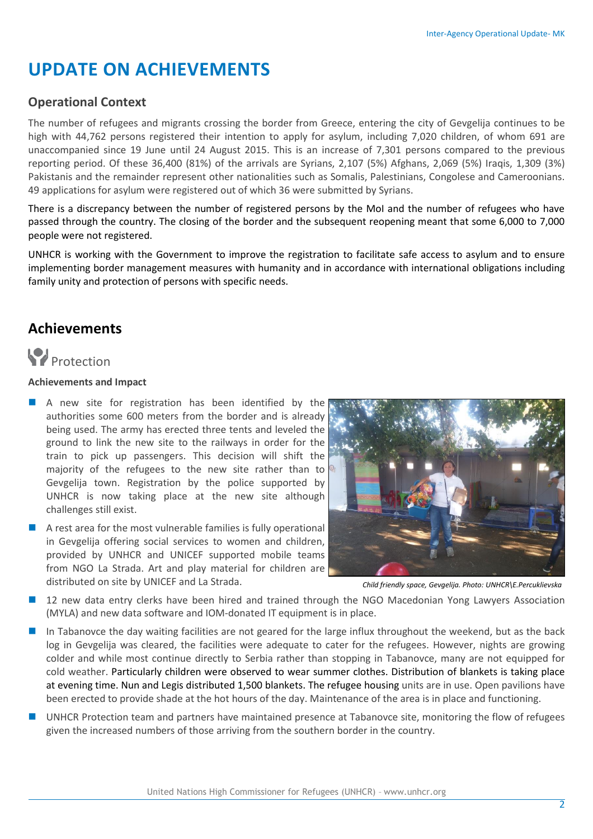# **UPDATE ON ACHIEVEMENTS**

## **Operational Context**

The number of refugees and migrants crossing the border from Greece, entering the city of Gevgelija continues to be high with 44,762 persons registered their intention to apply for asylum, including 7,020 children, of whom 691 are unaccompanied since 19 June until 24 August 2015. This is an increase of 7,301 persons compared to the previous reporting period. Of these 36,400 (81%) of the arrivals are Syrians, 2,107 (5%) Afghans, 2,069 (5%) Iraqis, 1,309 (3%) Pakistanis and the remainder represent other nationalities such as Somalis, Palestinians, Congolese and Cameroonians. 49 applications for asylum were registered out of which 36 were submitted by Syrians.

There is a discrepancy between the number of registered persons by the MoI and the number of refugees who have passed through the country. The closing of the border and the subsequent reopening meant that some 6,000 to 7,000 people were not registered.

UNHCR is working with the Government to improve the registration to facilitate safe access to asylum and to ensure implementing border management measures with humanity and in accordance with international obligations including family unity and protection of persons with specific needs.

## **Achievements**

# **P**rotection

## **Achievements and Impact**

- A new site for registration has been identified by the authorities some 600 meters from the border and is already being used. The army has erected three tents and leveled the ground to link the new site to the railways in order for the train to pick up passengers. This decision will shift the majority of the refugees to the new site rather than to Gevgelija town. Registration by the police supported by UNHCR is now taking place at the new site although challenges still exist.
- A rest area for the most vulnerable families is fully operational in Gevgelija offering social services to women and children, provided by UNHCR and UNICEF supported mobile teams from NGO La Strada. Art and play material for children are distributed on site by UNICEF and La Strada.



*Child friendly space, Gevgelija. Photo: UNHCR\E.Percuklievska*

- 12 new data entry clerks have been hired and trained through the NGO Macedonian Yong Lawyers Association (MYLA) and new data software and IOM-donated IT equipment is in place.
- In Tabanovce the day waiting facilities are not geared for the large influx throughout the weekend, but as the back log in Gevgelija was cleared, the facilities were adequate to cater for the refugees. However, nights are growing colder and while most continue directly to Serbia rather than stopping in Tabanovce, many are not equipped for cold weather. Particularly children were observed to wear summer clothes. Distribution of blankets is taking place at evening time. Nun and Legis distributed 1,500 blankets. The refugee housing units are in use. Open pavilions have been erected to provide shade at the hot hours of the day. Maintenance of the area is in place and functioning.
- UNHCR Protection team and partners have maintained presence at Tabanovce site, monitoring the flow of refugees given the increased numbers of those arriving from the southern border in the country.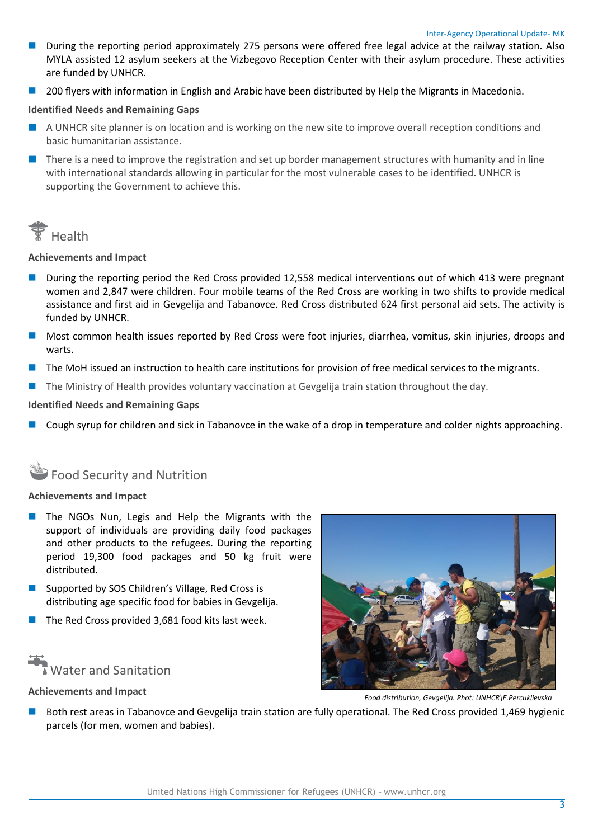- **During the reporting period approximately 275 persons were offered free legal advice at the railway station. Also** MYLA assisted 12 asylum seekers at the Vizbegovo Reception Center with their asylum procedure. These activities are funded by UNHCR.
- 200 flyers with information in English and Arabic have been distributed by Help the Migrants in Macedonia.

### **Identified Needs and Remaining Gaps**

- A UNHCR site planner is on location and is working on the new site to improve overall reception conditions and basic humanitarian assistance.
- $\blacksquare$  There is a need to improve the registration and set up border management structures with humanity and in line with international standards allowing in particular for the most vulnerable cases to be identified. UNHCR is supporting the Government to achieve this.



**Achievements and Impact**

- **During the reporting period the Red Cross provided 12,558 medical interventions out of which 413 were pregnant** women and 2,847 were children. Four mobile teams of the Red Cross are working in two shifts to provide medical assistance and first aid in Gevgelija and Tabanovce. Red Cross distributed 624 first personal aid sets. The activity is funded by UNHCR.
- Most common health issues reported by Red Cross were foot injuries, diarrhea, vomitus, skin injuries, droops and warts.
- The MoH issued an instruction to health care institutions for provision of free medical services to the migrants.
- The Ministry of Health provides voluntary vaccination at Gevgelija train station throughout the day.

### **Identified Needs and Remaining Gaps**

Cough syrup for children and sick in Tabanovce in the wake of a drop in temperature and colder nights approaching.

# **Food Security and Nutrition**

### **Achievements and Impact**

- $\blacksquare$  The NGOs Nun, Legis and Help the Migrants with the support of individuals are providing daily food packages and other products to the refugees. During the reporting period 19,300 food packages and 50 kg fruit were distributed.
- Supported by SOS Children's Village, Red Cross is distributing age specific food for babies in Gevgelija.
- The Red Cross provided 3,681 food kits last week.



### **Achievements and Impact**



*Food distribution, Gevgelija. Phot: UNHCR\E.Percuklievska*

 Both rest areas in Tabanovce and Gevgelija train station are fully operational. The Red Cross provided 1,469 hygienic parcels (for men, women and babies).